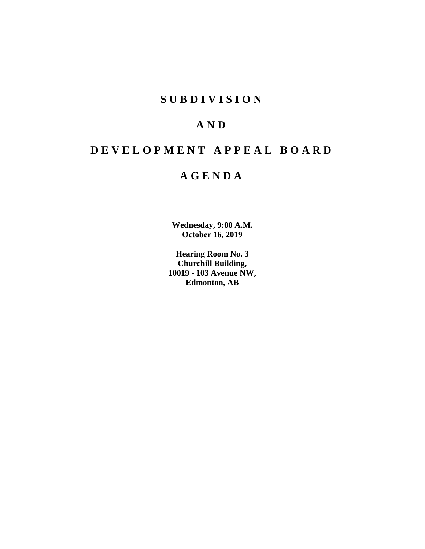# **SUBDIVISION**

# **AND**

# **DEVELOPMENT APPEAL BOARD**

# **AGENDA**

**Wednesday, 9:00 A.M. October 16, 2019**

**Hearing Room No. 3 Churchill Building, 10019 - 103 Avenue NW, Edmonton, AB**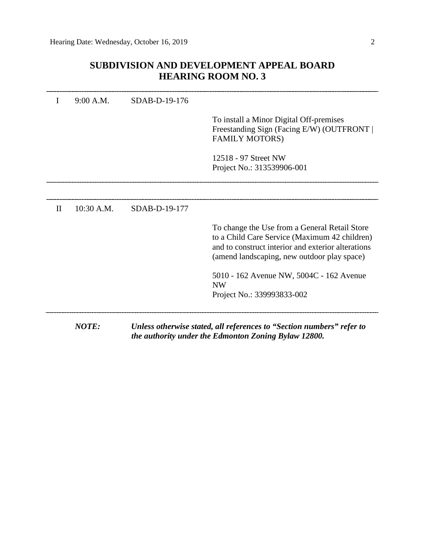## **SUBDIVISION AND DEVELOPMENT APPEAL BOARD HEARING ROOM NO. 3**

|              | <b>NOTE:</b> |               | Unless otherwise stated, all references to "Section numbers" refer to<br>the authority under the Edmonton Zoning Bylaw 12800.                                                                                                             |
|--------------|--------------|---------------|-------------------------------------------------------------------------------------------------------------------------------------------------------------------------------------------------------------------------------------------|
|              |              |               | to a Child Care Service (Maximum 42 children)<br>and to construct interior and exterior alterations<br>(amend landscaping, new outdoor play space)<br>5010 - 162 Avenue NW, 5004C - 162 Avenue<br><b>NW</b><br>Project No.: 339993833-002 |
| $\mathbf{I}$ | 10:30 A.M.   | SDAB-D-19-177 | To change the Use from a General Retail Store                                                                                                                                                                                             |
|              |              |               |                                                                                                                                                                                                                                           |
|              |              |               | 12518 - 97 Street NW<br>Project No.: 313539906-001                                                                                                                                                                                        |
|              |              |               | To install a Minor Digital Off-premises<br>Freestanding Sign (Facing E/W) (OUTFRONT  <br><b>FAMILY MOTORS)</b>                                                                                                                            |
| T            | 9:00 A.M.    | SDAB-D-19-176 |                                                                                                                                                                                                                                           |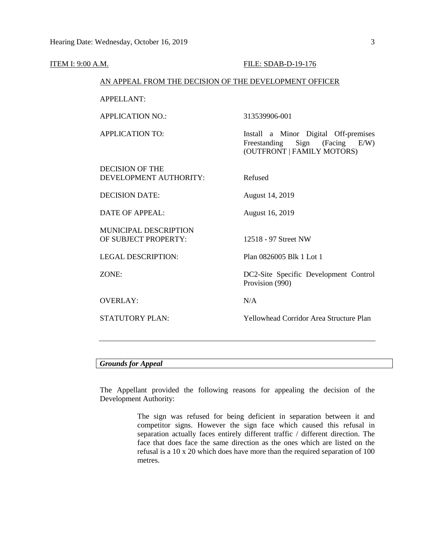| <b>ITEM I: 9:00 A.M.</b> |                                                        | FILE: SDAB-D-19-176                                                                                     |  |  |
|--------------------------|--------------------------------------------------------|---------------------------------------------------------------------------------------------------------|--|--|
|                          | AN APPEAL FROM THE DECISION OF THE DEVELOPMENT OFFICER |                                                                                                         |  |  |
|                          | <b>APPELLANT:</b>                                      |                                                                                                         |  |  |
|                          | <b>APPLICATION NO.:</b>                                | 313539906-001                                                                                           |  |  |
|                          | <b>APPLICATION TO:</b>                                 | Install a Minor Digital Off-premises<br>Sign (Facing E/W)<br>Freestanding<br>(OUTFRONT   FAMILY MOTORS) |  |  |
|                          | <b>DECISION OF THE</b><br>DEVELOPMENT AUTHORITY:       | Refused                                                                                                 |  |  |
|                          | <b>DECISION DATE:</b>                                  | August 14, 2019                                                                                         |  |  |
|                          | <b>DATE OF APPEAL:</b>                                 | August 16, 2019                                                                                         |  |  |
|                          | MUNICIPAL DESCRIPTION<br>OF SUBJECT PROPERTY:          | 12518 - 97 Street NW                                                                                    |  |  |
|                          | <b>LEGAL DESCRIPTION:</b>                              | Plan 0826005 Blk 1 Lot 1                                                                                |  |  |
|                          | ZONE:                                                  | DC2-Site Specific Development Control<br>Provision (990)                                                |  |  |
|                          | <b>OVERLAY:</b>                                        | N/A                                                                                                     |  |  |
|                          | <b>STATUTORY PLAN:</b>                                 | <b>Yellowhead Corridor Area Structure Plan</b>                                                          |  |  |
|                          |                                                        |                                                                                                         |  |  |
|                          |                                                        |                                                                                                         |  |  |

### *Grounds for Appeal*

The Appellant provided the following reasons for appealing the decision of the Development Authority:

> The sign was refused for being deficient in separation between it and competitor signs. However the sign face which caused this refusal in separation actually faces entirely different traffic / different direction. The face that does face the same direction as the ones which are listed on the refusal is a 10 x 20 which does have more than the required separation of 100 metres.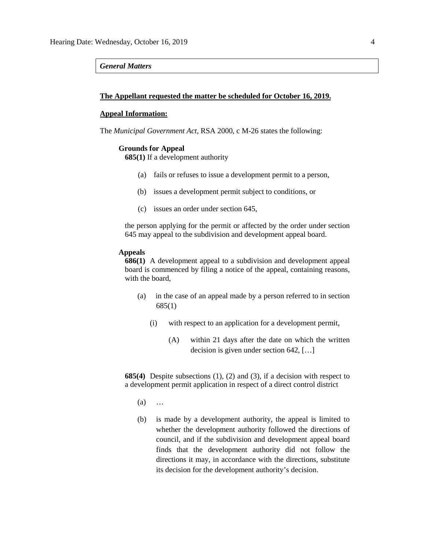### *General Matters*

### **The Appellant requested the matter be scheduled for October 16, 2019.**

### **Appeal Information:**

The *Municipal Government Act*, RSA 2000, c M-26 states the following:

#### **Grounds for Appeal**

**685(1)** If a development authority

- (a) fails or refuses to issue a development permit to a person,
- (b) issues a development permit subject to conditions, or
- (c) issues an order under section 645,

the person applying for the permit or affected by the order under section 645 may appeal to the subdivision and development appeal board.

### **Appeals**

**686(1)** A development appeal to a subdivision and development appeal board is commenced by filing a notice of the appeal, containing reasons, with the board,

- (a) in the case of an appeal made by a person referred to in section 685(1)
	- (i) with respect to an application for a development permit,
		- (A) within 21 days after the date on which the written decision is given under section 642, […]

**685(4)** Despite subsections (1), (2) and (3), if a decision with respect to a development permit application in respect of a direct control district

- (a) …
- (b) is made by a development authority, the appeal is limited to whether the development authority followed the directions of council, and if the subdivision and development appeal board finds that the development authority did not follow the directions it may, in accordance with the directions, substitute its decision for the development authority's decision.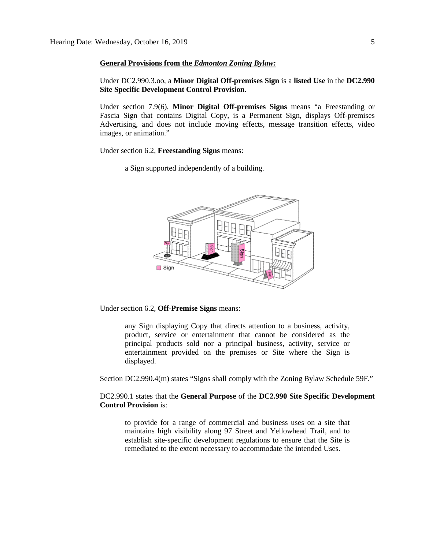### **General Provisions from the** *Edmonton Zoning Bylaw:*

Under DC2.990.3.oo, a **Minor Digital Off-premises Sign** is a **listed Use** in the **DC2.990 Site Specific Development Control Provision**.

Under section 7.9(6), **Minor Digital Off-premises Signs** means "a Freestanding or Fascia Sign that contains Digital Copy, is a Permanent Sign, displays Off-premises Advertising, and does not include moving effects, message transition effects, video images, or animation."

Under section 6.2, **Freestanding Signs** means:

a Sign supported independently of a building.



Under section 6.2, **Off-Premise Signs** means:

any Sign displaying Copy that directs attention to a business, activity, product, service or entertainment that cannot be considered as the principal products sold nor a principal business, activity, service or entertainment provided on the premises or Site where the Sign is displayed.

Section DC2.990.4(m) states "Signs shall comply with the Zoning Bylaw Schedule 59F."

DC2.990.1 states that the **General Purpose** of the **DC2.990 Site Specific Development Control Provision** is:

to provide for a range of commercial and business uses on a site that maintains high visibility along 97 Street and Yellowhead Trail, and to establish site-specific development regulations to ensure that the Site is remediated to the extent necessary to accommodate the intended Uses.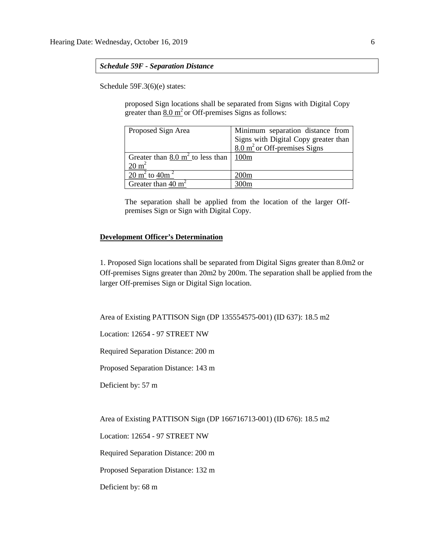### *Schedule 59F - Separation Distance*

Schedule 59F.3(6)(e) states:

proposed Sign locations shall be separated from Signs with Digital Copy greater than 8.0  $m<sup>2</sup>$  or Off-premises Signs as follows:

| Proposed Sign Area                          | Minimum separation distance from        |  |  |
|---------------------------------------------|-----------------------------------------|--|--|
|                                             | Signs with Digital Copy greater than    |  |  |
|                                             | $8.0 \text{ m}^2$ or Off-premises Signs |  |  |
| Greater than $8.0 \text{ m}^2$ to less than | 100 <sub>m</sub>                        |  |  |
| $20 \text{ m}^2$                            |                                         |  |  |
| 20 m <sup>2</sup> to 40m <sup>2</sup>       | 200m                                    |  |  |
| Greater than $40 \text{ m}^2$               |                                         |  |  |

The separation shall be applied from the location of the larger Offpremises Sign or Sign with Digital Copy.

### **Development Officer's Determination**

1. Proposed Sign locations shall be separated from Digital Signs greater than 8.0m2 or Off-premises Signs greater than 20m2 by 200m. The separation shall be applied from the larger Off-premises Sign or Digital Sign location.

Area of Existing PATTISON Sign (DP 135554575-001) (ID 637): 18.5 m2

Location: 12654 - 97 STREET NW

Required Separation Distance: 200 m

Proposed Separation Distance: 143 m

Deficient by: 57 m

Area of Existing PATTISON Sign (DP 166716713-001) (ID 676): 18.5 m2

Location: 12654 - 97 STREET NW

Required Separation Distance: 200 m

Proposed Separation Distance: 132 m

Deficient by: 68 m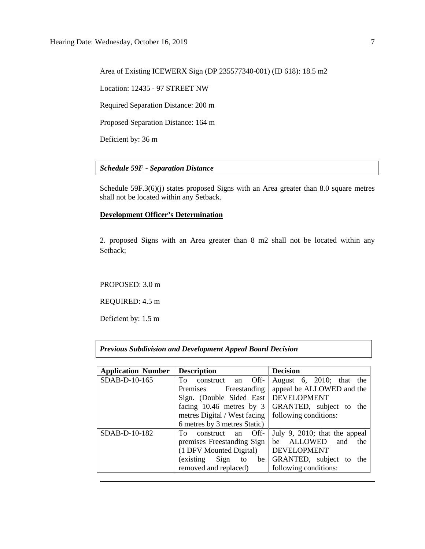Area of Existing ICEWERX Sign (DP 235577340-001) (ID 618): 18.5 m2

Location: 12435 - 97 STREET NW

Required Separation Distance: 200 m

Proposed Separation Distance: 164 m

Deficient by: 36 m

### *Schedule 59F - Separation Distance*

Schedule 59F.3(6)(j) states proposed Signs with an Area greater than 8.0 square metres shall not be located within any Setback.

### **Development Officer's Determination**

2. proposed Signs with an Area greater than 8 m2 shall not be located within any Setback;

### PROPOSED: 3.0 m

REQUIRED: 4.5 m

Deficient by: 1.5 m

### *Previous Subdivision and Development Appeal Board Decision*

| <b>Application Number</b> | <b>Description</b>                     | <b>Decision</b>               |  |  |
|---------------------------|----------------------------------------|-------------------------------|--|--|
| SDAB-D-10-165             | To<br>Off-<br>construct<br>an          | August 6, 2010; that the      |  |  |
|                           | Premises<br>Freestanding               | appeal be ALLOWED and the     |  |  |
|                           | Sign. (Double Sided East   DEVELOPMENT |                               |  |  |
|                           | facing 10.46 metres by 3               | GRANTED, subject to<br>the    |  |  |
|                           | metres Digital / West facing           | following conditions:         |  |  |
|                           | 6 metres by 3 metres Static)           |                               |  |  |
| SDAB-D-10-182             | Off-<br>To.<br>construct<br>an         | July 9, 2010; that the appeal |  |  |
|                           | premises Freestanding Sign             | ALLOWED<br>and<br>the<br>he   |  |  |
|                           | (1 DFV Mounted Digital)                | <b>DEVELOPMENT</b>            |  |  |
|                           | Sign<br>(existing<br>be<br>to          | GRANTED, subject to<br>the    |  |  |
|                           | removed and replaced)                  | following conditions:         |  |  |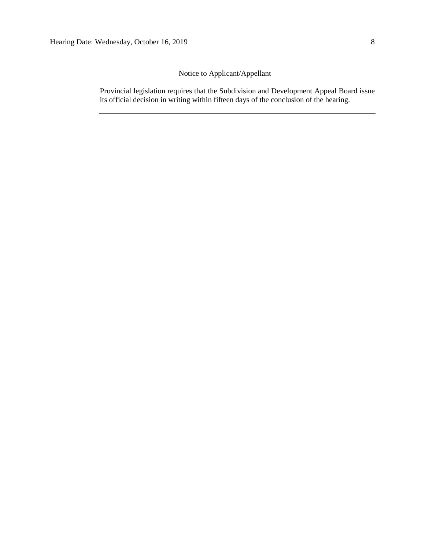### Notice to Applicant/Appellant

Provincial legislation requires that the Subdivision and Development Appeal Board issue its official decision in writing within fifteen days of the conclusion of the hearing.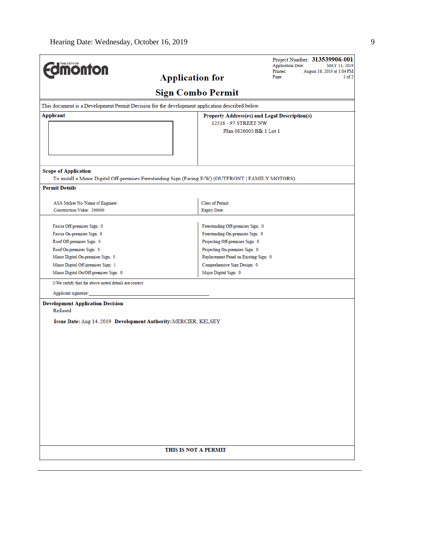| <b>monton</b>                                                                                   |                                                                                                   | Project Number: 313539906-001<br><b>Application Date:</b><br>MAY 13, 2019 |  |  |  |  |
|-------------------------------------------------------------------------------------------------|---------------------------------------------------------------------------------------------------|---------------------------------------------------------------------------|--|--|--|--|
|                                                                                                 | <b>Application for</b>                                                                            | Printed:<br>August 16, 2019 at 1:04 PM<br>Page:<br>1 of 2                 |  |  |  |  |
|                                                                                                 | <b>Sign Combo Permit</b>                                                                          |                                                                           |  |  |  |  |
| This document is a Development Permit Decision for the development application described below. |                                                                                                   |                                                                           |  |  |  |  |
| Applicant                                                                                       |                                                                                                   | Property Address(es) and Legal Description(s)                             |  |  |  |  |
|                                                                                                 | 12518 - 97 STREET NW                                                                              |                                                                           |  |  |  |  |
|                                                                                                 |                                                                                                   | Plan 0826005 Blk 1 Lot 1                                                  |  |  |  |  |
|                                                                                                 |                                                                                                   |                                                                           |  |  |  |  |
|                                                                                                 |                                                                                                   |                                                                           |  |  |  |  |
|                                                                                                 |                                                                                                   |                                                                           |  |  |  |  |
| <b>Scope of Application</b>                                                                     |                                                                                                   |                                                                           |  |  |  |  |
|                                                                                                 | To install a Minor Digital Off-premises Freestanding Sign (Facing E/W) (OUTFRONT   FAMILY MOTORS) |                                                                           |  |  |  |  |
| <b>Permit Details</b>                                                                           |                                                                                                   |                                                                           |  |  |  |  |
| ASA Sticker No./Name of Engineer:                                                               | Class of Permit:                                                                                  |                                                                           |  |  |  |  |
| Construction Value: 200000                                                                      | Expiry Date:                                                                                      |                                                                           |  |  |  |  |
|                                                                                                 |                                                                                                   |                                                                           |  |  |  |  |
| Fascia Off-premises Sign: 0                                                                     |                                                                                                   | Freestanding Off-premises Sign: 0                                         |  |  |  |  |
| Fascia On-premises Sign: 0                                                                      |                                                                                                   | Freestanding On-premises Sign: 0                                          |  |  |  |  |
| Roof Off-premises Sign: 0                                                                       |                                                                                                   | Projecting Off-premises Sign: 0                                           |  |  |  |  |
| Roof On-premises Sign: 0                                                                        | Projecting On-premises Sign: 0                                                                    |                                                                           |  |  |  |  |
| Minor Digital On-premises Sign: 0                                                               | Replacement Panel on Existing Sign: 0                                                             |                                                                           |  |  |  |  |
| Minor Digital Off-premises Sign: 1                                                              | Comprehensive Sign Design: 0<br>Major Digital Sign: 0                                             |                                                                           |  |  |  |  |
| Minor Digital On/Off-premises Sign: 0                                                           |                                                                                                   |                                                                           |  |  |  |  |
| I/We certify that the above noted details are correct.                                          |                                                                                                   |                                                                           |  |  |  |  |
| Applicant signature:                                                                            |                                                                                                   |                                                                           |  |  |  |  |
| <b>Development Application Decision</b>                                                         |                                                                                                   |                                                                           |  |  |  |  |
| Refused                                                                                         |                                                                                                   |                                                                           |  |  |  |  |
| Issue Date: Aug 14, 2019 Development Authority: MERCIER, KELSEY                                 |                                                                                                   |                                                                           |  |  |  |  |
|                                                                                                 |                                                                                                   |                                                                           |  |  |  |  |
|                                                                                                 |                                                                                                   |                                                                           |  |  |  |  |
|                                                                                                 |                                                                                                   |                                                                           |  |  |  |  |
|                                                                                                 |                                                                                                   |                                                                           |  |  |  |  |
|                                                                                                 |                                                                                                   |                                                                           |  |  |  |  |
|                                                                                                 |                                                                                                   |                                                                           |  |  |  |  |
|                                                                                                 |                                                                                                   |                                                                           |  |  |  |  |
|                                                                                                 |                                                                                                   |                                                                           |  |  |  |  |
|                                                                                                 |                                                                                                   |                                                                           |  |  |  |  |
|                                                                                                 |                                                                                                   |                                                                           |  |  |  |  |
|                                                                                                 |                                                                                                   |                                                                           |  |  |  |  |
|                                                                                                 |                                                                                                   |                                                                           |  |  |  |  |
|                                                                                                 |                                                                                                   |                                                                           |  |  |  |  |
|                                                                                                 |                                                                                                   |                                                                           |  |  |  |  |
|                                                                                                 | THIS IS NOT A PERMIT                                                                              |                                                                           |  |  |  |  |
|                                                                                                 |                                                                                                   |                                                                           |  |  |  |  |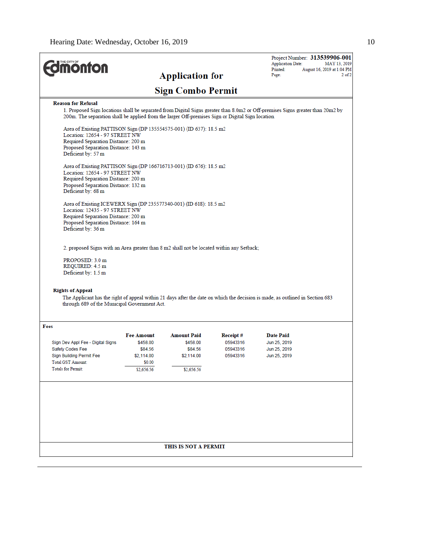| <b><i><u><u>monton</u></u></i></b>                                                                                                           |                                                                     |                        |                      | Project Number: 313539906-001<br><b>Application Date:</b><br>Printed:                                                          | MAY 13, 2019<br>August 16, 2019 at 1:04 PM |  |  |  |
|----------------------------------------------------------------------------------------------------------------------------------------------|---------------------------------------------------------------------|------------------------|----------------------|--------------------------------------------------------------------------------------------------------------------------------|--------------------------------------------|--|--|--|
|                                                                                                                                              |                                                                     | <b>Application for</b> |                      | Page:                                                                                                                          | $2$ of $2$                                 |  |  |  |
|                                                                                                                                              | <b>Sign Combo Permit</b>                                            |                        |                      |                                                                                                                                |                                            |  |  |  |
| <b>Reason for Refusal</b>                                                                                                                    |                                                                     |                        |                      |                                                                                                                                |                                            |  |  |  |
| 200m. The separation shall be applied from the larger Off-premises Sign or Digital Sign location.                                            |                                                                     |                        |                      | 1. Proposed Sign locations shall be separated from Digital Signs greater than 8.0m2 or Off-premises Signs greater than 20m2 by |                                            |  |  |  |
| Location: 12654 - 97 STREET NW                                                                                                               | Area of Existing PATTISON Sign (DP 135554575-001) (ID 637): 18.5 m2 |                        |                      |                                                                                                                                |                                            |  |  |  |
| Required Separation Distance: 200 m<br>Proposed Separation Distance: 143 m<br>Deficient by: 57 m                                             |                                                                     |                        |                      |                                                                                                                                |                                            |  |  |  |
| Area of Existing PATTISON Sign (DP 166716713-001) (ID 676): 18.5 m2<br>Location: 12654 - 97 STREET NW<br>Required Separation Distance: 200 m |                                                                     |                        |                      |                                                                                                                                |                                            |  |  |  |
| Proposed Separation Distance: 132 m<br>Deficient by: 68 m                                                                                    |                                                                     |                        |                      |                                                                                                                                |                                            |  |  |  |
| Area of Existing ICEWERX Sign (DP 235577340-001) (ID 618): 18.5 m2<br>Location: 12435 - 97 STREET NW                                         |                                                                     |                        |                      |                                                                                                                                |                                            |  |  |  |
| Required Separation Distance: 200 m<br>Proposed Separation Distance: 164 m<br>Deficient by: 36 m                                             |                                                                     |                        |                      |                                                                                                                                |                                            |  |  |  |
| 2. proposed Signs with an Area greater than 8 m2 shall not be located within any Setback;                                                    |                                                                     |                        |                      |                                                                                                                                |                                            |  |  |  |
| PROPOSED: 3.0 m<br>REQUIRED: 4.5 m<br>Deficient by: 1.5 m                                                                                    |                                                                     |                        |                      |                                                                                                                                |                                            |  |  |  |
|                                                                                                                                              |                                                                     |                        |                      |                                                                                                                                |                                            |  |  |  |
| <b>Rights of Appeal</b><br>through 689 of the Municipal Government Act.                                                                      |                                                                     |                        |                      | The Applicant has the right of appeal within 21 days after the date on which the decision is made, as outlined in Section 683  |                                            |  |  |  |
| Fees                                                                                                                                         |                                                                     |                        |                      |                                                                                                                                |                                            |  |  |  |
|                                                                                                                                              | Fee Amount                                                          | <b>Amount Paid</b>     | Receipt#             | Date Paid                                                                                                                      |                                            |  |  |  |
| Sign Dev Appl Fee - Digital Signs<br>Safety Codes Fee                                                                                        | \$458.00<br>\$84.56                                                 | \$458.00<br>\$84.56    | 05943316<br>05943316 | Jun 25, 2019<br>Jun 25, 2019                                                                                                   |                                            |  |  |  |
| Sign Building Permit Fee                                                                                                                     | \$2,114.00                                                          | \$2,114.00             | 05943316             | Jun 25, 2019                                                                                                                   |                                            |  |  |  |
| <b>Total GST Amount:</b>                                                                                                                     | \$0.00                                                              |                        |                      |                                                                                                                                |                                            |  |  |  |
| <b>Totals for Permit:</b>                                                                                                                    | \$2,656.56                                                          | \$2,656.56             |                      |                                                                                                                                |                                            |  |  |  |
|                                                                                                                                              |                                                                     |                        |                      |                                                                                                                                |                                            |  |  |  |
|                                                                                                                                              |                                                                     |                        |                      |                                                                                                                                |                                            |  |  |  |
|                                                                                                                                              |                                                                     |                        |                      |                                                                                                                                |                                            |  |  |  |
|                                                                                                                                              | THIS IS NOT A PERMIT                                                |                        |                      |                                                                                                                                |                                            |  |  |  |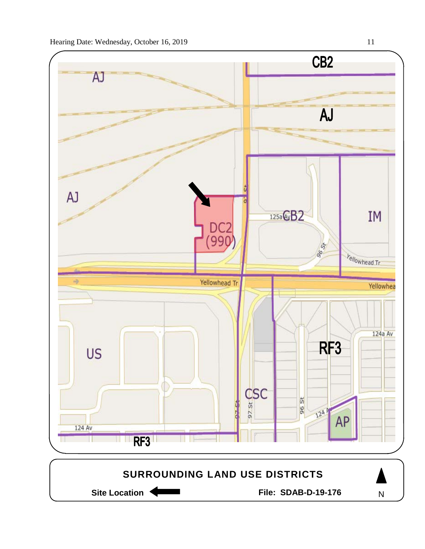

Site Location **Community Contract Contract Contract Contract Contract Contract Contract Contract Contract Contract Contract Contract Contract Contract Contract Contract Contract Contract Contract Contract Contract Contract** 

N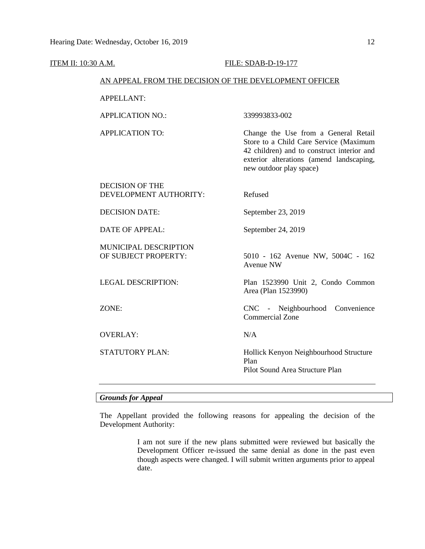| <u>ITEM II: 10:30 A.M.</u> |                                                        | FILE: SDAB-D-19-177 |                                                                                                                                                                                                     |  |  |  |
|----------------------------|--------------------------------------------------------|---------------------|-----------------------------------------------------------------------------------------------------------------------------------------------------------------------------------------------------|--|--|--|
|                            | AN APPEAL FROM THE DECISION OF THE DEVELOPMENT OFFICER |                     |                                                                                                                                                                                                     |  |  |  |
|                            | APPELLANT:                                             |                     |                                                                                                                                                                                                     |  |  |  |
|                            | <b>APPLICATION NO.:</b>                                |                     | 339993833-002                                                                                                                                                                                       |  |  |  |
|                            | <b>APPLICATION TO:</b>                                 |                     | Change the Use from a General Retail<br>Store to a Child Care Service (Maximum<br>42 children) and to construct interior and<br>exterior alterations (amend landscaping,<br>new outdoor play space) |  |  |  |
|                            | <b>DECISION OF THE</b><br>DEVELOPMENT AUTHORITY:       |                     | Refused                                                                                                                                                                                             |  |  |  |
|                            | <b>DECISION DATE:</b>                                  |                     | September 23, 2019                                                                                                                                                                                  |  |  |  |
|                            | <b>DATE OF APPEAL:</b>                                 |                     | September 24, 2019                                                                                                                                                                                  |  |  |  |
|                            | MUNICIPAL DESCRIPTION<br>OF SUBJECT PROPERTY:          |                     | 5010 - 162 Avenue NW, 5004C - 162<br><b>Avenue NW</b>                                                                                                                                               |  |  |  |
|                            | <b>LEGAL DESCRIPTION:</b>                              |                     | Plan 1523990 Unit 2, Condo Common<br>Area (Plan 1523990)                                                                                                                                            |  |  |  |
|                            | ZONE:                                                  |                     | CNC - Neighbourhood Convenience<br><b>Commercial Zone</b>                                                                                                                                           |  |  |  |
|                            | <b>OVERLAY:</b>                                        |                     | N/A                                                                                                                                                                                                 |  |  |  |
|                            | STATUTORY PLAN:                                        |                     | Hollick Kenyon Neighbourhood Structure<br>Plan<br>Pilot Sound Area Structure Plan                                                                                                                   |  |  |  |

### *Grounds for Appeal*

The Appellant provided the following reasons for appealing the decision of the Development Authority:

> I am not sure if the new plans submitted were reviewed but basically the Development Officer re-issued the same denial as done in the past even though aspects were changed. I will submit written arguments prior to appeal date.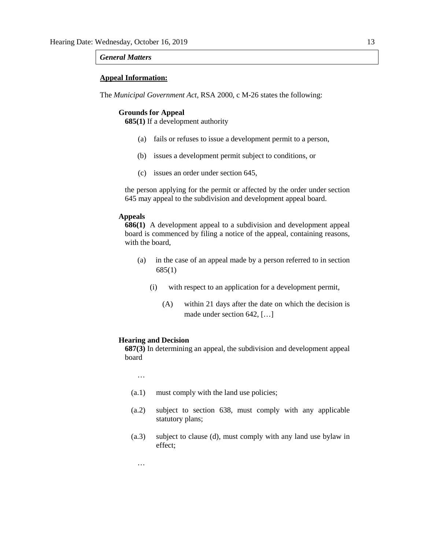### *General Matters*

### **Appeal Information:**

The *Municipal Government Act*, RSA 2000, c M-26 states the following:

#### **Grounds for Appeal**

**685(1)** If a development authority

- (a) fails or refuses to issue a development permit to a person,
- (b) issues a development permit subject to conditions, or
- (c) issues an order under section 645,

the person applying for the permit or affected by the order under section 645 may appeal to the subdivision and development appeal board.

### **Appeals**

**686(1)** A development appeal to a subdivision and development appeal board is commenced by filing a notice of the appeal, containing reasons, with the board,

- (a) in the case of an appeal made by a person referred to in section 685(1)
	- (i) with respect to an application for a development permit,
		- (A) within 21 days after the date on which the decision is made under section 642, […]

#### **Hearing and Decision**

**687(3)** In determining an appeal, the subdivision and development appeal board

…

…

- (a.1) must comply with the land use policies;
- (a.2) subject to section 638, must comply with any applicable statutory plans;
- (a.3) subject to clause (d), must comply with any land use bylaw in effect;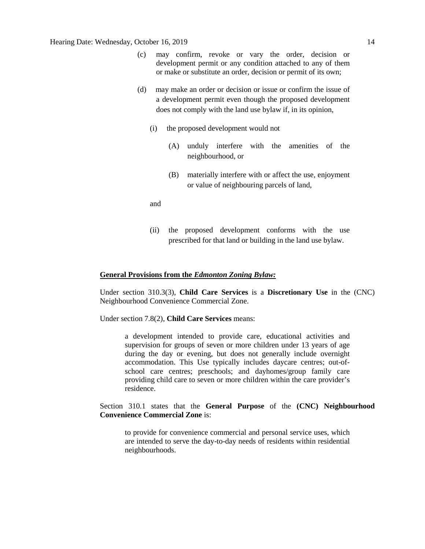- (c) may confirm, revoke or vary the order, decision or development permit or any condition attached to any of them or make or substitute an order, decision or permit of its own;
- (d) may make an order or decision or issue or confirm the issue of a development permit even though the proposed development does not comply with the land use bylaw if, in its opinion,
	- (i) the proposed development would not
		- (A) unduly interfere with the amenities of the neighbourhood, or
		- (B) materially interfere with or affect the use, enjoyment or value of neighbouring parcels of land,

and

(ii) the proposed development conforms with the use prescribed for that land or building in the land use bylaw.

### **General Provisions from the** *Edmonton Zoning Bylaw:*

Under section 310.3(3), **Child Care Services** is a **Discretionary Use** in the (CNC) Neighbourhood Convenience Commercial Zone.

Under section 7.8(2), **Child Care Services** means:

a development intended to provide care, educational activities and supervision for groups of seven or more children under 13 years of age during the day or evening, but does not generally include overnight accommodation. This Use typically includes daycare centres; out-ofschool care centres; preschools; and dayhomes/group family care providing child care to seven or more children within the care provider's residence.

Section 310.1 states that the **General Purpose** of the **(CNC) Neighbourhood Convenience Commercial Zone** is:

to provide for convenience commercial and personal service uses, which are intended to serve the day-to-day needs of residents within residential neighbourhoods.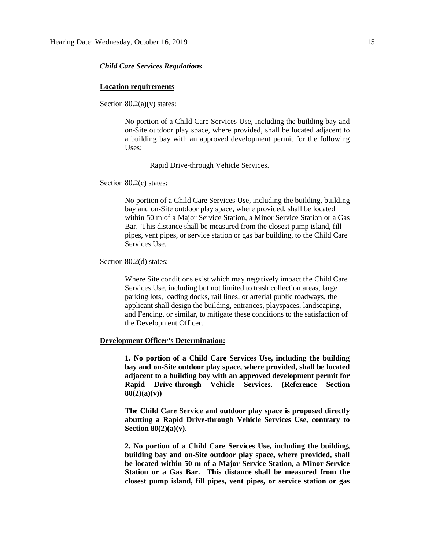### *Child Care Services Regulations*

### **Location requirements**

Section  $80.2(a)(v)$  states:

No portion of a Child Care Services Use, including the building bay and on-Site outdoor play space, where provided, shall be located adjacent to a building bay with an approved development permit for the following Uses:

Rapid Drive-through Vehicle Services.

Section 80.2(c) states:

No portion of a Child Care Services Use, including the building, building bay and on-Site outdoor play space, where provided, shall be located within 50 m of a Major Service Station, a Minor Service Station or a Gas Bar. This distance shall be measured from the closest pump island, fill pipes, vent pipes, or service station or gas bar building, to the Child Care Services Use.

Section 80.2(d) states:

Where Site conditions exist which may negatively impact the Child Care Services Use, including but not limited to trash collection areas, large parking lots, loading docks, rail lines, or arterial public roadways, the applicant shall design the building, entrances, playspaces, landscaping, and Fencing, or similar, to mitigate these conditions to the satisfaction of the Development Officer.

#### **Development Officer's Determination:**

**1. No portion of a Child Care Services Use, including the building bay and on-Site outdoor play space, where provided, shall be located adjacent to a building bay with an approved development permit for Rapid Drive-through Vehicle Services. (Reference Section 80(2)(a)(v))**

**The Child Care Service and outdoor play space is proposed directly abutting a Rapid Drive-through Vehicle Services Use, contrary to Section 80(2)(a)(v).**

**2. No portion of a Child Care Services Use, including the building, building bay and on-Site outdoor play space, where provided, shall be located within 50 m of a Major Service Station, a Minor Service Station or a Gas Bar. This distance shall be measured from the closest pump island, fill pipes, vent pipes, or service station or gas**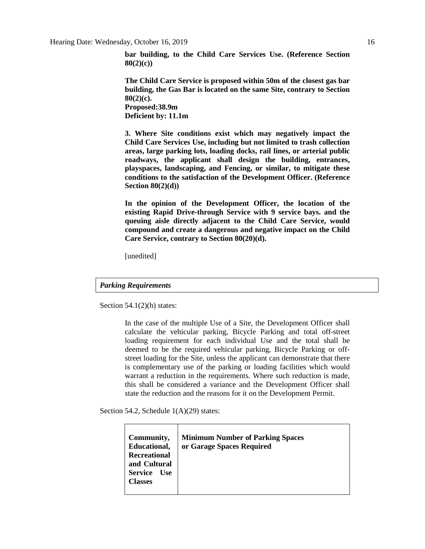**bar building, to the Child Care Services Use. (Reference Section 80(2)(c))**

**The Child Care Service is proposed within 50m of the closest gas bar building, the Gas Bar is located on the same Site, contrary to Section 80(2)(c). Proposed:38.9m**

**Deficient by: 11.1m**

**3. Where Site conditions exist which may negatively impact the Child Care Services Use, including but not limited to trash collection areas, large parking lots, loading docks, rail lines, or arterial public roadways, the applicant shall design the building, entrances, playspaces, landscaping, and Fencing, or similar, to mitigate these conditions to the satisfaction of the Development Officer. (Reference Section 80(2)(d))**

**In the opinion of the Development Officer, the location of the existing Rapid Drive-through Service with 9 service bays. and the queuing aisle directly adjacent to the Child Care Service, would compound and create a dangerous and negative impact on the Child Care Service, contrary to Section 80(20)(d).** 

[unedited]

### *Parking Requirements*

Section  $54.1(2)$ (h) states:

In the case of the multiple Use of a Site, the Development Officer shall calculate the vehicular parking, Bicycle Parking and total off-street loading requirement for each individual Use and the total shall be deemed to be the required vehicular parking, Bicycle Parking or offstreet loading for the Site, unless the applicant can demonstrate that there is complementary use of the parking or loading facilities which would warrant a reduction in the requirements. Where such reduction is made, this shall be considered a variance and the Development Officer shall state the reduction and the reasons for it on the Development Permit.

Section 54.2, Schedule 1(A)(29) states:

| Community,<br>Educational,<br><b>Recreational</b><br>and Cultural<br><b>Service</b><br><b>Use</b><br><b>Classes</b> | <b>Minimum Number of Parking Spaces</b><br>or Garage Spaces Required |
|---------------------------------------------------------------------------------------------------------------------|----------------------------------------------------------------------|
|                                                                                                                     |                                                                      |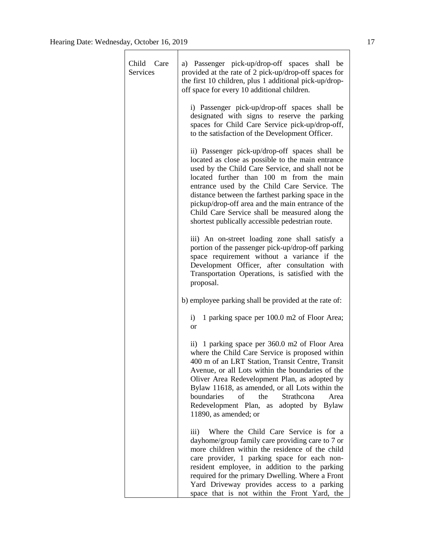| Child Care<br>Services | a) Passenger pick-up/drop-off spaces shall be<br>provided at the rate of 2 pick-up/drop-off spaces for<br>the first 10 children, plus 1 additional pick-up/drop-<br>off space for every 10 additional children.                                                                                                                                                                                                                                                      |
|------------------------|----------------------------------------------------------------------------------------------------------------------------------------------------------------------------------------------------------------------------------------------------------------------------------------------------------------------------------------------------------------------------------------------------------------------------------------------------------------------|
|                        | i) Passenger pick-up/drop-off spaces shall be<br>designated with signs to reserve the parking<br>spaces for Child Care Service pick-up/drop-off,<br>to the satisfaction of the Development Officer.                                                                                                                                                                                                                                                                  |
|                        | ii) Passenger pick-up/drop-off spaces shall be<br>located as close as possible to the main entrance<br>used by the Child Care Service, and shall not be<br>located further than 100 m from the main<br>entrance used by the Child Care Service. The<br>distance between the farthest parking space in the<br>pickup/drop-off area and the main entrance of the<br>Child Care Service shall be measured along the<br>shortest publically accessible pedestrian route. |
|                        | iii) An on-street loading zone shall satisfy a<br>portion of the passenger pick-up/drop-off parking<br>space requirement without a variance if the<br>Development Officer, after consultation with<br>Transportation Operations, is satisfied with the<br>proposal.                                                                                                                                                                                                  |
|                        | b) employee parking shall be provided at the rate of:                                                                                                                                                                                                                                                                                                                                                                                                                |
|                        | 1 parking space per 100.0 m2 of Floor Area;<br>i)<br><b>or</b>                                                                                                                                                                                                                                                                                                                                                                                                       |
|                        | 1 parking space per 360.0 m2 of Floor Area<br>$\rm ii)$<br>where the Child Care Service is proposed within<br>400 m of an LRT Station, Transit Centre, Transit<br>Avenue, or all Lots within the boundaries of the<br>Oliver Area Redevelopment Plan, as adopted by<br>Bylaw 11618, as amended, or all Lots within the<br>boundaries<br>of the<br>Strathcona<br>Area<br>Redevelopment Plan,<br>adopted by Bylaw<br>as<br>11890, as amended; or                       |
|                        | Where the Child Care Service is for a<br>$\overline{111}$<br>dayhome/group family care providing care to 7 or<br>more children within the residence of the child<br>care provider, 1 parking space for each non-<br>resident employee, in addition to the parking<br>required for the primary Dwelling. Where a Front<br>Yard Driveway provides access to a parking<br>space that is not within the Front Yard, the                                                  |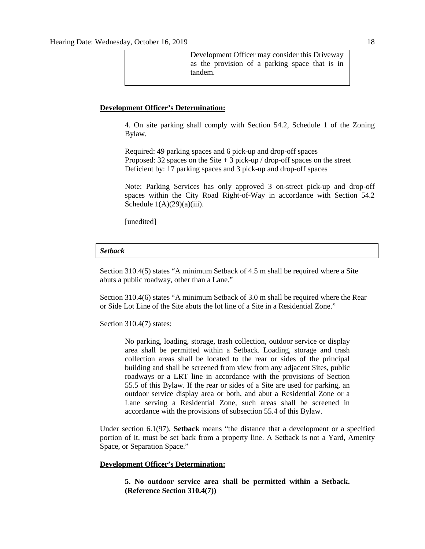Development Officer may consider this Driveway as the provision of a parking space that is in tandem.

### **Development Officer's Determination:**

4. On site parking shall comply with Section 54.2, Schedule 1 of the Zoning Bylaw.

Required: 49 parking spaces and 6 pick-up and drop-off spaces Proposed: 32 spaces on the Site  $+3$  pick-up / drop-off spaces on the street Deficient by: 17 parking spaces and 3 pick-up and drop-off spaces

Note: Parking Services has only approved 3 on-street pick-up and drop-off spaces within the City Road Right-of-Way in accordance with Section 54.2 Schedule  $1(A)(29)(a)(iii)$ .

[unedited]

### *Setback*

Section 310.4(5) states "A minimum Setback of 4.5 m shall be required where a Site abuts a public roadway, other than a Lane."

Section 310.4(6) states "A minimum Setback of 3.0 m shall be required where the Rear or Side Lot Line of the Site abuts the lot line of a Site in a Residential Zone."

Section 310.4(7) states:

No parking, loading, storage, trash collection, outdoor service or display area shall be permitted within a Setback. Loading, storage and trash collection areas shall be located to the rear or sides of the principal building and shall be screened from view from any adjacent Sites, public roadways or a LRT line in accordance with the provisions of Section 55.5 of this Bylaw. If the rear or sides of a Site are used for parking, an outdoor service display area or both, and abut a Residential Zone or a Lane serving a Residential Zone, such areas shall be screened in accordance with the provisions of subsection 55.4 of this Bylaw.

Under section 6.1(97), **Setback** means "the distance that a development or a specified portion of it, must be set back from a property line. A Setback is not a Yard, Amenity Space, or Separation Space."

### **Development Officer's Determination:**

**5. No outdoor service area shall be permitted within a Setback. (Reference Section 310.4(7))**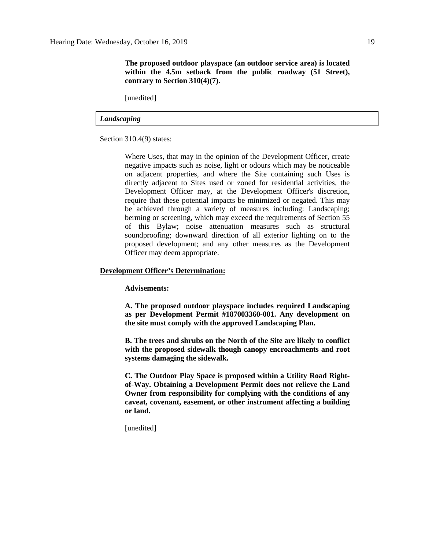[unedited]

### *Landscaping*

Section 310.4(9) states:

Where Uses, that may in the opinion of the Development Officer, create negative impacts such as noise, light or odours which may be noticeable on adjacent properties, and where the Site containing such Uses is directly adjacent to Sites used or zoned for residential activities, the Development Officer may, at the Development Officer's discretion, require that these potential impacts be minimized or negated. This may be achieved through a variety of measures including: Landscaping; berming or screening, which may exceed the requirements of Section 55 of this Bylaw; noise attenuation measures such as structural soundproofing; downward direction of all exterior lighting on to the proposed development; and any other measures as the Development Officer may deem appropriate.

### **Development Officer's Determination:**

**Advisements:**

**A. The proposed outdoor playspace includes required Landscaping as per Development Permit #187003360-001. Any development on the site must comply with the approved Landscaping Plan.**

**B. The trees and shrubs on the North of the Site are likely to conflict with the proposed sidewalk though canopy encroachments and root systems damaging the sidewalk.** 

**C. The Outdoor Play Space is proposed within a Utility Road Rightof-Way. Obtaining a Development Permit does not relieve the Land Owner from responsibility for complying with the conditions of any caveat, covenant, easement, or other instrument affecting a building or land.**

[unedited]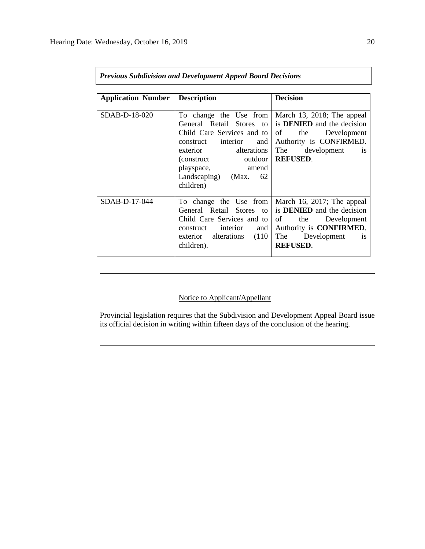| <b>Application Number</b> | <b>Description</b>            | <b>Decision</b>                   |  |  |  |
|---------------------------|-------------------------------|-----------------------------------|--|--|--|
|                           |                               |                                   |  |  |  |
| SDAB-D-18-020             | To change the Use from        | March 13, 2018; The appeal        |  |  |  |
|                           | General Retail Stores to      | is <b>DENIED</b> and the decision |  |  |  |
|                           | Child Care Services and to    | of the Development                |  |  |  |
|                           | construct interior and        | Authority is CONFIRMED.           |  |  |  |
|                           | alterations<br>exterior       | The development<br>1S             |  |  |  |
|                           | outdoor<br>(construct)        | <b>REFUSED.</b>                   |  |  |  |
|                           | playspace, amend              |                                   |  |  |  |
|                           | Landscaping) (Max. 62         |                                   |  |  |  |
|                           | children)                     |                                   |  |  |  |
|                           |                               |                                   |  |  |  |
| SDAB-D-17-044             | To change the Use from        | March 16, 2017; The appeal        |  |  |  |
|                           | General Retail Stores to      | is <b>DENIED</b> and the decision |  |  |  |
|                           | Child Care Services and to    | of<br>the Development             |  |  |  |
|                           | construct interior and        | Authority is <b>CONFIRMED</b> .   |  |  |  |
|                           | (110)<br>exterior alterations | The Development<br>1S             |  |  |  |
|                           | children).                    | <b>REFUSED.</b>                   |  |  |  |
|                           |                               |                                   |  |  |  |

*Previous Subdivision and Development Appeal Board Decisions*

### Notice to Applicant/Appellant

Provincial legislation requires that the Subdivision and Development Appeal Board issue its official decision in writing within fifteen days of the conclusion of the hearing.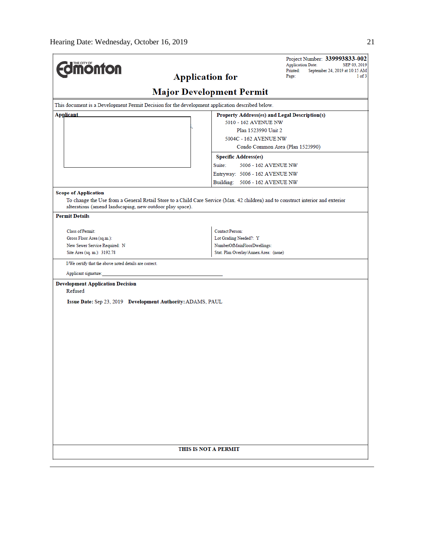| THE CITY OF<br><b>monton</b>                                                                    | Project Number: 339993833-002<br><b>Application Date:</b><br>SEP 03, 2019<br>Printed:<br>September 24, 2019 at 10:15 AM<br><b>Application for</b><br>Page:<br>1 of 3 |  |  |  |  |  |
|-------------------------------------------------------------------------------------------------|----------------------------------------------------------------------------------------------------------------------------------------------------------------------|--|--|--|--|--|
| <b>Major Development Permit</b>                                                                 |                                                                                                                                                                      |  |  |  |  |  |
| This document is a Development Permit Decision for the development application described below. |                                                                                                                                                                      |  |  |  |  |  |
| <b>Applicant</b>                                                                                | Property Address(es) and Legal Description(s)                                                                                                                        |  |  |  |  |  |
| 5010 - 162 AVENUE NW                                                                            |                                                                                                                                                                      |  |  |  |  |  |
|                                                                                                 | Plan 1523990 Unit 2<br>5004C - 162 AVENUE NW                                                                                                                         |  |  |  |  |  |
|                                                                                                 | Condo Common Area (Plan 1523990)                                                                                                                                     |  |  |  |  |  |
|                                                                                                 | <b>Specific Address(es)</b>                                                                                                                                          |  |  |  |  |  |
|                                                                                                 | Suite:<br>5006 - 162 AVENUE NW                                                                                                                                       |  |  |  |  |  |
|                                                                                                 | Entryway: 5006 - 162 AVENUE NW                                                                                                                                       |  |  |  |  |  |
|                                                                                                 | Building: 5006 - 162 AVENUE NW                                                                                                                                       |  |  |  |  |  |
| <b>Scope of Application</b><br>alterations (amend landscaping, new outdoor play space).         | To change the Use from a General Retail Store to a Child Care Service (Max. 42 children) and to construct interior and exterior                                      |  |  |  |  |  |
| <b>Permit Details</b>                                                                           |                                                                                                                                                                      |  |  |  |  |  |
| Class of Permit:                                                                                | <b>Contact Person:</b>                                                                                                                                               |  |  |  |  |  |
| Gross Floor Area (sq.m.):                                                                       | Lot Grading Needed?: Y                                                                                                                                               |  |  |  |  |  |
| New Sewer Service Required: N                                                                   | NumberOfMainFloorDwellings:                                                                                                                                          |  |  |  |  |  |
| Site Area (sq. m.): 3192.78                                                                     | Stat. Plan Overlay/Annex Area: (none)                                                                                                                                |  |  |  |  |  |
| I/We certify that the above noted details are correct.                                          |                                                                                                                                                                      |  |  |  |  |  |
| Applicant signature:                                                                            |                                                                                                                                                                      |  |  |  |  |  |
| <b>Development Application Decision</b>                                                         |                                                                                                                                                                      |  |  |  |  |  |
| Refused<br>Issue Date: Sep 23, 2019 Development Authority: ADAMS, PAUL<br>THIS IS NOT A PERMIT  |                                                                                                                                                                      |  |  |  |  |  |
|                                                                                                 |                                                                                                                                                                      |  |  |  |  |  |
|                                                                                                 |                                                                                                                                                                      |  |  |  |  |  |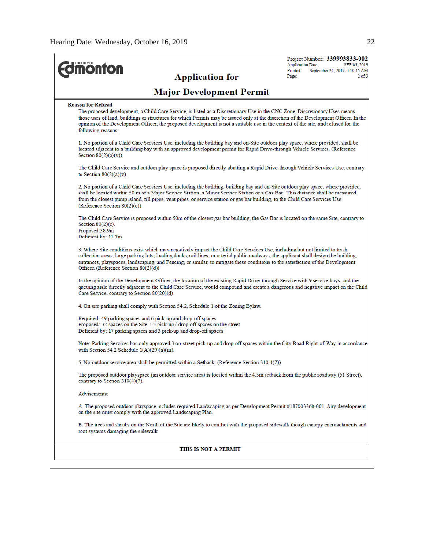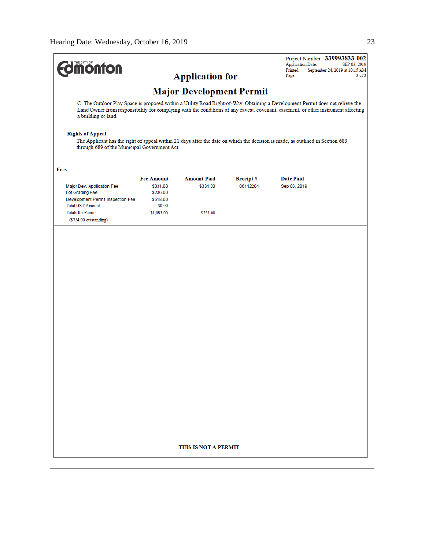| <b>MONTON</b>                                                                                           |                                                       |                                 |                      | Project Number: 339993833-002<br><b>Application Date:</b><br>SEP 03, 2019<br>Printed:<br>September 24, 2019 at 10:15 AM<br>$3$ of $3$<br>Page: |
|---------------------------------------------------------------------------------------------------------|-------------------------------------------------------|---------------------------------|----------------------|------------------------------------------------------------------------------------------------------------------------------------------------|
|                                                                                                         |                                                       | <b>Application for</b>          |                      |                                                                                                                                                |
|                                                                                                         |                                                       | <b>Major Development Permit</b> |                      | C. The Outdoor Play Space is proposed within a Utility Road Right-of-Way. Obtaining a Development Permit does not relieve the                  |
| a building or land.                                                                                     |                                                       |                                 |                      | Land Owner from responsibility for complying with the conditions of any caveat, covenant, easement, or other instrument affecting              |
| <b>Rights of Appeal</b><br>through 689 of the Municipal Government Act.                                 |                                                       |                                 |                      | The Applicant has the right of appeal within 21 days after the date on which the decision is made, as outlined in Section 683                  |
| Fees                                                                                                    |                                                       |                                 |                      |                                                                                                                                                |
| Major Dev. Application Fee<br>Lot Grading Fee<br>Development Permit Inspection Fee<br>Total GST Amount: | <b>Fee Amount</b><br>\$331.00<br>\$236.00<br>\$518.00 | <b>Amount Paid</b><br>\$331.00  | Receipt#<br>06112284 | <b>Date Paid</b><br>Sep 03, 2019                                                                                                               |
| <b>Totals for Permit:</b>                                                                               | \$0.00<br>\$1,085.00                                  | \$331.00                        |                      |                                                                                                                                                |
| (\$754.00 outstanding)                                                                                  |                                                       |                                 |                      |                                                                                                                                                |
|                                                                                                         |                                                       |                                 |                      |                                                                                                                                                |
|                                                                                                         |                                                       |                                 |                      |                                                                                                                                                |
|                                                                                                         |                                                       |                                 |                      |                                                                                                                                                |
|                                                                                                         |                                                       |                                 |                      |                                                                                                                                                |
|                                                                                                         |                                                       | THIS IS NOT A PERMIT            |                      |                                                                                                                                                |
|                                                                                                         |                                                       |                                 |                      |                                                                                                                                                |